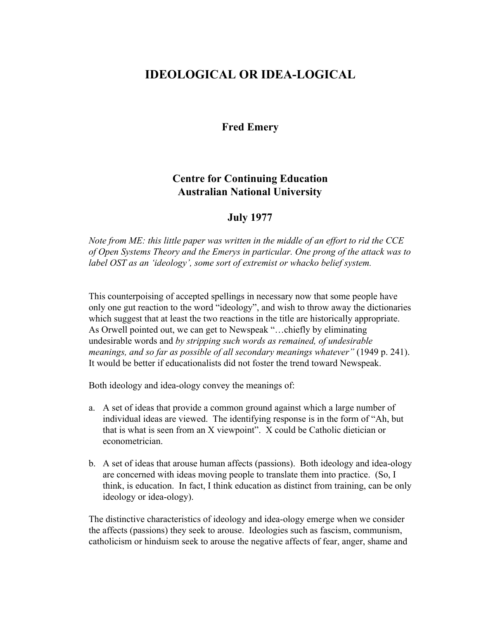## **IDEOLOGICAL OR IDEA-LOGICAL**

**Fred Emery**

## **Centre for Continuing Education Australian National University**

## **July 1977**

*Note from ME: this little paper was written in the middle of an effort to rid the CCE of Open Systems Theory and the Emerys in particular. One prong of the attack was to label OST as an 'ideology', some sort of extremist or whacko belief system.*

This counterpoising of accepted spellings in necessary now that some people have only one gut reaction to the word "ideology", and wish to throw away the dictionaries which suggest that at least the two reactions in the title are historically appropriate. As Orwell pointed out, we can get to Newspeak "…chiefly by eliminating undesirable words and *by stripping such words as remained, of undesirable meanings, and so far as possible of all secondary meanings whatever"* (1949 p. 241). It would be better if educationalists did not foster the trend toward Newspeak.

Both ideology and idea-ology convey the meanings of:

- a. A set of ideas that provide a common ground against which a large number of individual ideas are viewed. The identifying response is in the form of "Ah, but that is what is seen from an X viewpoint". X could be Catholic dietician or econometrician.
- b. A set of ideas that arouse human affects (passions). Both ideology and idea-ology are concerned with ideas moving people to translate them into practice. (So, I think, is education. In fact, I think education as distinct from training, can be only ideology or idea-ology).

The distinctive characteristics of ideology and idea-ology emerge when we consider the affects (passions) they seek to arouse. Ideologies such as fascism, communism, catholicism or hinduism seek to arouse the negative affects of fear, anger, shame and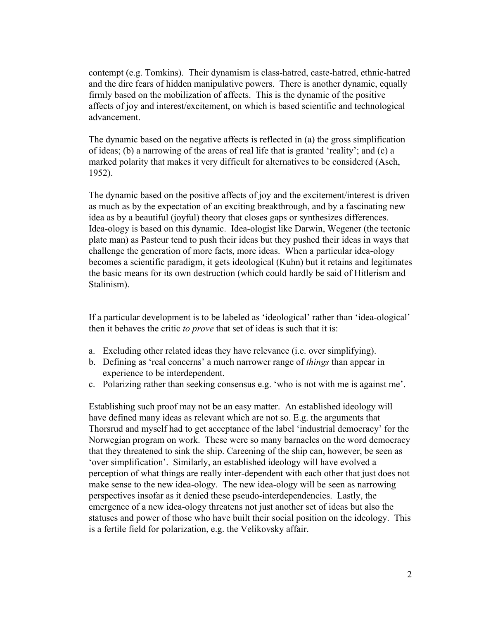contempt (e.g. Tomkins). Their dynamism is class-hatred, caste-hatred, ethnic-hatred and the dire fears of hidden manipulative powers. There is another dynamic, equally firmly based on the mobilization of affects. This is the dynamic of the positive affects of joy and interest/excitement, on which is based scientific and technological advancement.

The dynamic based on the negative affects is reflected in (a) the gross simplification of ideas; (b) a narrowing of the areas of real life that is granted 'reality'; and (c) a marked polarity that makes it very difficult for alternatives to be considered (Asch, 1952).

The dynamic based on the positive affects of joy and the excitement/interest is driven as much as by the expectation of an exciting breakthrough, and by a fascinating new idea as by a beautiful (joyful) theory that closes gaps or synthesizes differences. Idea-ology is based on this dynamic. Idea-ologist like Darwin, Wegener (the tectonic plate man) as Pasteur tend to push their ideas but they pushed their ideas in ways that challenge the generation of more facts, more ideas. When a particular idea-ology becomes a scientific paradigm, it gets ideological (Kuhn) but it retains and legitimates the basic means for its own destruction (which could hardly be said of Hitlerism and Stalinism).

If a particular development is to be labeled as 'ideological' rather than 'idea-ological' then it behaves the critic *to prove* that set of ideas is such that it is:

- a. Excluding other related ideas they have relevance (i.e. over simplifying).
- b. Defining as 'real concerns' a much narrower range of *things* than appear in experience to be interdependent.
- c. Polarizing rather than seeking consensus e.g. 'who is not with me is against me'.

Establishing such proof may not be an easy matter. An established ideology will have defined many ideas as relevant which are not so. E.g. the arguments that Thorsrud and myself had to get acceptance of the label 'industrial democracy' for the Norwegian program on work. These were so many barnacles on the word democracy that they threatened to sink the ship. Careening of the ship can, however, be seen as 'over simplification'. Similarly, an established ideology will have evolved a perception of what things are really inter-dependent with each other that just does not make sense to the new idea-ology. The new idea-ology will be seen as narrowing perspectives insofar as it denied these pseudo-interdependencies. Lastly, the emergence of a new idea-ology threatens not just another set of ideas but also the statuses and power of those who have built their social position on the ideology. This is a fertile field for polarization, e.g. the Velikovsky affair.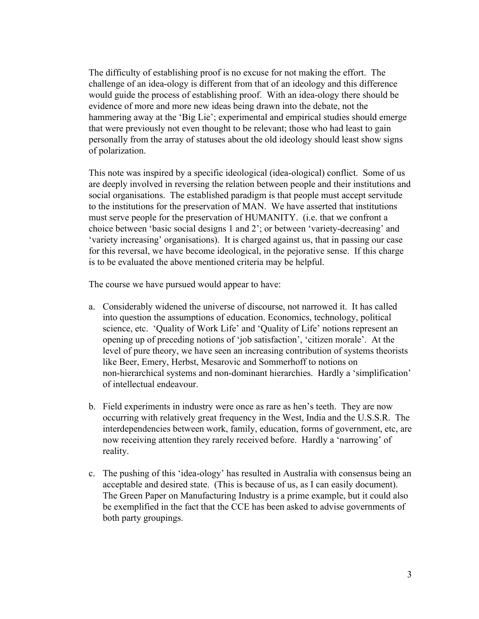The difficulty of establishing proof is no excuse for not making the effort. The challenge of an idea-ology is different from that of an ideology and this difference would guide the process of establishing proof. With an idea-ology there should be evidence of more and more new ideas being drawn into the debate, not the hammering away at the 'Big Lie'; experimental and empirical studies should emerge that were previously not even thought to be relevant; those who had least to gain personally from the array of statuses about the old ideology should least show signs of polarization.

This note was inspired by a specific ideological (idea-ological) conflict. Some of us are deeply involved in reversing the relation between people and their institutions and social organisations. The established paradigm is that people must accept servitude to the institutions for the preservation of MAN. We have asserted that institutions must serve people for the preservation of HUMANITY. (i.e. that we confront a choice between 'basic social designs 1 and 2'; or between 'variety-decreasing' and 'variety increasing' organisations). It is charged against us, that in passing our case for this reversal, we have become ideological, in the pejorative sense. If this charge is to be evaluated the above mentioned criteria may be helpful.

The course we have pursued would appear to have:

- a. Considerably widened the universe of discourse, not narrowed it. It has called into question the assumptions of education. Economics, technology, political science, etc. 'Quality of Work Life' and 'Quality of Life' notions represent an opening up of preceding notions of 'job satisfaction', 'citizen morale'. At the level of pure theory, we have seen an increasing contribution of systems theorists like Beer, Emery, Herbst, Mesarovic and Sommerhoff to notions on non-hierarchical systems and non-dominant hierarchies. Hardly a 'simplification' of intellectual endeavour.
- b. Field experiments in industry were once as rare as hen's teeth. They are now occurring with relatively great frequency in the West, India and the U.S.S.R. The interdependencies between work, family, education, forms of government, etc, are now receiving attention they rarely received before. Hardly a 'narrowing' of reality.
- c. The pushing of this 'idea-ology' has resulted in Australia with consensus being an acceptable and desired state. (This is because of us, as I can easily document). The Green Paper on Manufacturing Industry is a prime example, but it could also be exemplified in the fact that the CCE has been asked to advise governments of both party groupings.